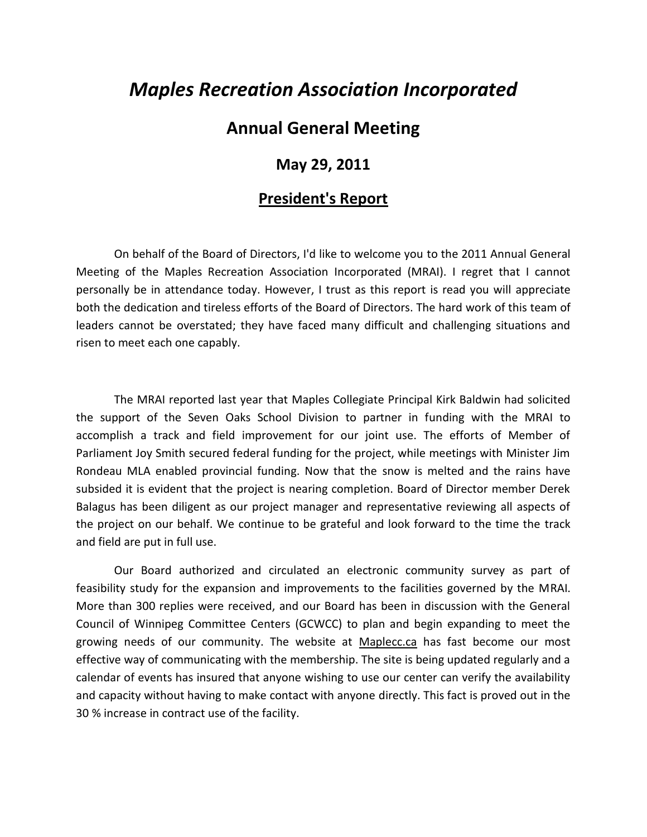## *Maples Recreation Association Incorporated*

## **Annual General Meeting**

## **May 29, 2011**

## **President's Report**

On behalf of the Board of Directors, I'd like to welcome you to the 2011 Annual General Meeting of the Maples Recreation Association Incorporated (MRAI). I regret that I cannot personally be in attendance today. However, I trust as this report is read you will appreciate both the dedication and tireless efforts of the Board of Directors. The hard work of this team of leaders cannot be overstated; they have faced many difficult and challenging situations and risen to meet each one capably.

The MRAI reported last year that Maples Collegiate Principal Kirk Baldwin had solicited the support of the Seven Oaks School Division to partner in funding with the MRAI to accomplish a track and field improvement for our joint use. The efforts of Member of Parliament Joy Smith secured federal funding for the project, while meetings with Minister Jim Rondeau MLA enabled provincial funding. Now that the snow is melted and the rains have subsided it is evident that the project is nearing completion. Board of Director member Derek Balagus has been diligent as our project manager and representative reviewing all aspects of the project on our behalf. We continue to be grateful and look forward to the time the track and field are put in full use.

Our Board authorized and circulated an electronic community survey as part of feasibility study for the expansion and improvements to the facilities governed by the MRAI. More than 300 replies were received, and our Board has been in discussion with the General Council of Winnipeg Committee Centers (GCWCC) to plan and begin expanding to meet the growing needs of our community. The website at Maplecc.ca has fast become our most effective way of communicating with the membership. The site is being updated regularly and a calendar of events has insured that anyone wishing to use our center can verify the availability and capacity without having to make contact with anyone directly. This fact is proved out in the 30 % increase in contract use of the facility.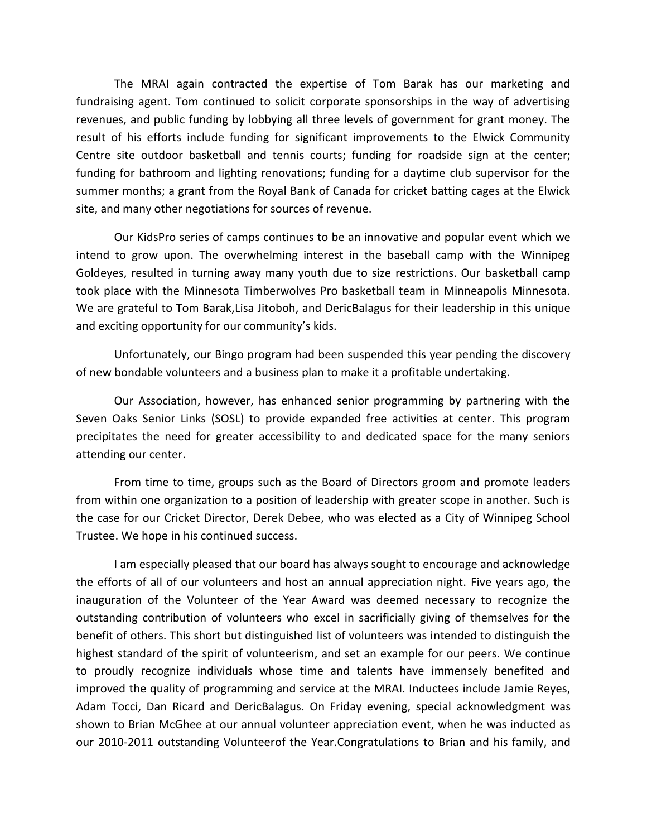The MRAI again contracted the expertise of Tom Barak has our marketing and fundraising agent. Tom continued to solicit corporate sponsorships in the way of advertising revenues, and public funding by lobbying all three levels of government for grant money. The result of his efforts include funding for significant improvements to the Elwick Community Centre site outdoor basketball and tennis courts; funding for roadside sign at the center; funding for bathroom and lighting renovations; funding for a daytime club supervisor for the summer months; a grant from the Royal Bank of Canada for cricket batting cages at the Elwick site, and many other negotiations for sources of revenue.

Our KidsPro series of camps continues to be an innovative and popular event which we intend to grow upon. The overwhelming interest in the baseball camp with the Winnipeg Goldeyes, resulted in turning away many youth due to size restrictions. Our basketball camp took place with the Minnesota Timberwolves Pro basketball team in Minneapolis Minnesota. We are grateful to Tom Barak,Lisa Jitoboh, and DericBalagus for their leadership in this unique and exciting opportunity for our community's kids.

Unfortunately, our Bingo program had been suspended this year pending the discovery of new bondable volunteers and a business plan to make it a profitable undertaking.

Our Association, however, has enhanced senior programming by partnering with the Seven Oaks Senior Links (SOSL) to provide expanded free activities at center. This program precipitates the need for greater accessibility to and dedicated space for the many seniors attending our center.

From time to time, groups such as the Board of Directors groom and promote leaders from within one organization to a position of leadership with greater scope in another. Such is the case for our Cricket Director, Derek Debee, who was elected as a City of Winnipeg School Trustee. We hope in his continued success.

I am especially pleased that our board has always sought to encourage and acknowledge the efforts of all of our volunteers and host an annual appreciation night. Five years ago, the inauguration of the Volunteer of the Year Award was deemed necessary to recognize the outstanding contribution of volunteers who excel in sacrificially giving of themselves for the benefit of others. This short but distinguished list of volunteers was intended to distinguish the highest standard of the spirit of volunteerism, and set an example for our peers. We continue to proudly recognize individuals whose time and talents have immensely benefited and improved the quality of programming and service at the MRAI. Inductees include Jamie Reyes, Adam Tocci, Dan Ricard and DericBalagus. On Friday evening, special acknowledgment was shown to Brian McGhee at our annual volunteer appreciation event, when he was inducted as our 2010-2011 outstanding Volunteerof the Year.Congratulations to Brian and his family, and